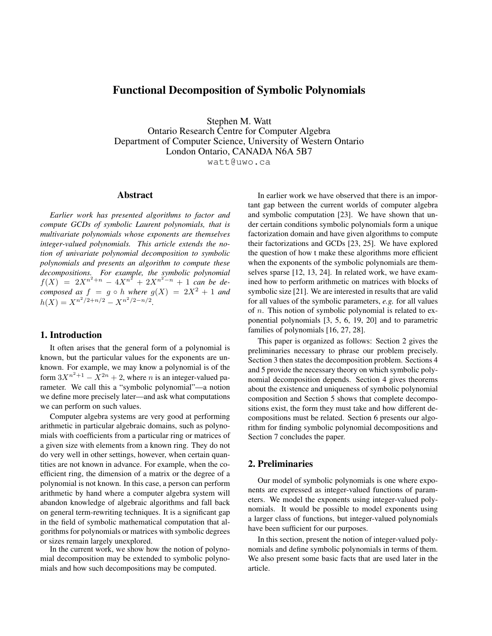# Functional Decomposition of Symbolic Polynomials

Stephen M. Watt

Ontario Research Centre for Computer Algebra Department of Computer Science, University of Western Ontario London Ontario, CANADA N6A 5B7 watt@uwo.ca

## Abstract

*Earlier work has presented algorithms to factor and compute GCDs of symbolic Laurent polynomials, that is multivariate polynomials whose exponents are themselves integer-valued polynomials. This article extends the notion of univariate polynomial decomposition to symbolic polynomials and presents an algorithm to compute these decompositions. For example, the symbolic polynomial*  $f(X) = 2X^{n^2+n} - 4X^{n^2} + 2X^{n^2-n} + 1$  can be de*composed as*  $f = g \circ h$  *where*  $g(X) = 2X^2 + 1$  *and*  $h(X) = X^{n^2/2 + n/2} - X^{n^2/2 - n/2}.$ 

# 1. Introduction

It often arises that the general form of a polynomial is known, but the particular values for the exponents are unknown. For example, we may know a polynomial is of the form  $3X^{n^2+1} - X^{2n} + 2$ , where *n* is an integer-valued parameter. We call this a "symbolic polynomial"—a notion we define more precisely later—and ask what computations we can perform on such values.

Computer algebra systems are very good at performing arithmetic in particular algebraic domains, such as polynomials with coefficients from a particular ring or matrices of a given size with elements from a known ring. They do not do very well in other settings, however, when certain quantities are not known in advance. For example, when the coefficient ring, the dimension of a matrix or the degree of a polynomial is not known. In this case, a person can perform arithmetic by hand where a computer algebra system will abandon knowledge of algebraic algorithms and fall back on general term-rewriting techniques. It is a significant gap in the field of symbolic mathematical computation that algorithms for polynomials or matrices with symbolic degrees or sizes remain largely unexplored.

In the current work, we show how the notion of polynomial decomposition may be extended to symbolic polynomials and how such decompositions may be computed.

In earlier work we have observed that there is an important gap between the current worlds of computer algebra and symbolic computation [23]. We have shown that under certain conditions symbolic polynomials form a unique factorization domain and have given algorithms to compute their factorizations and GCDs [23, 25]. We have explored the question of how t make these algorithms more efficient when the exponents of the symbolic polynomials are themselves sparse [12, 13, 24]. In related work, we have examined how to perform arithmetic on matrices with blocks of symbolic size [21]. We are interested in results that are valid for all values of the symbolic parameters, *e.g.* for all values of n. This notion of symbolic polynomial is related to exponential polynomials [3, 5, 6, 19, 20] and to parametric families of polynomials [16, 27, 28].

This paper is organized as follows: Section 2 gives the preliminaries necessary to phrase our problem precisely. Section 3 then states the decomposition problem. Sections 4 and 5 provide the necessary theory on which symbolic polynomial decomposition depends. Section 4 gives theorems about the existence and uniqueness of symbolic polynomial composition and Section 5 shows that complete decompositions exist, the form they must take and how different decompositions must be related. Section 6 presents our algorithm for finding symbolic polynomial decompositions and Section 7 concludes the paper.

# 2. Preliminaries

Our model of symbolic polynomials is one where exponents are expressed as integer-valued functions of parameters. We model the exponents using integer-valued polynomials. It would be possible to model exponents using a larger class of functions, but integer-valued polynomials have been sufficient for our purposes.

In this section, present the notion of integer-valued polynomials and define symbolic polynomials in terms of them. We also present some basic facts that are used later in the article.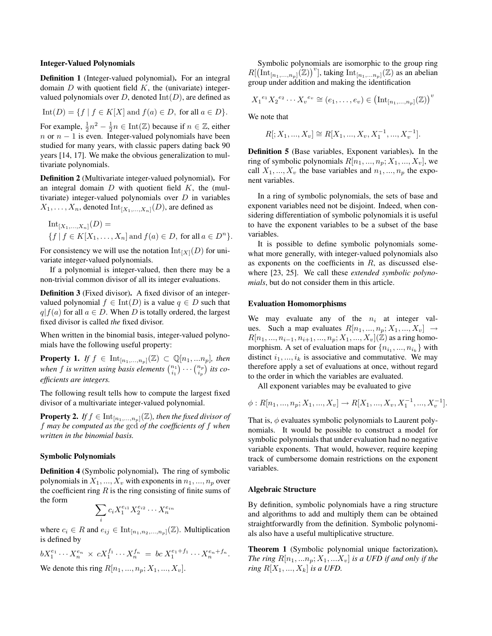#### Integer-Valued Polynomials

Definition 1 (Integer-valued polynomial). For an integral domain  $D$  with quotient field  $K$ , the (univariate) integervalued polynomials over  $D$ , denoted  $Int(D)$ , are defined as

$$
Int(D) = \{ f \mid f \in K[X] \text{ and } f(a) \in D, \text{ for all } a \in D \}.
$$

For example,  $\frac{1}{2}n^2 - \frac{1}{2}n \in \text{Int}(\mathbb{Z})$  because if  $n \in \mathbb{Z}$ , either  $n \text{ or } n-1$  is even. Integer-valued polynomials have been studied for many years, with classic papers dating back 90 years [14, 17]. We make the obvious generalization to multivariate polynomials.

Definition 2 (Multivariate integer-valued polynomial). For an integral domain  $D$  with quotient field  $K$ , the (multivariate) integer-valued polynomials over  $D$  in variables  $X_1, \ldots, X_n$ , denoted  $\mathrm{Int}_{[X_1,\ldots,X_n]}(D)$ , are defined as

Int<sub>[X<sub>1</sub>,...,X<sub>n</sub>](D) =  
{
$$
f | f \in K[X_1,...,X_n]
$$
 and  $f(a) \in D$ , for all  $a \in D^n$  }.</sub>

For consistency we will use the notation  $\text{Int}_{[X]}(D)$  for univariate integer-valued polynomials.

If a polynomial is integer-valued, then there may be a non-trivial common divisor of all its integer evaluations.

Definition 3 (Fixed divisor). A fixed divisor of an integervalued polynomial  $f \in \text{Int}(D)$  is a value  $q \in D$  such that  $q|f(a)$  for all  $a \in D$ . When D is totally ordered, the largest fixed divisor is called *the* fixed divisor.

When written in the binomial basis, integer-valued polynomials have the following useful property:

**Property 1.** *If*  $f \in \text{Int}_{[n_1,...,n_p]}(\mathbb{Z}) \subset \mathbb{Q}[n_1,...n_p]$ *, then* when f is written using basis elements  $\binom{n_1}{i_1} \cdots \binom{n_p}{i_p}$  its co*efficients are integers.*

The following result tells how to compute the largest fixed divisor of a multivariate integer-valued polynomial.

**Property 2.** *If*  $f \in \text{Int}_{[n_1,...,n_p]}(\mathbb{Z})$ *, then the fixed divisor of* f *may be computed as the* gcd *of the coefficients of* f *when written in the binomial basis.*

### Symbolic Polynomials

Definition 4 (Symbolic polynomial). The ring of symbolic polynomials in  $X_1, ..., X_v$  with exponents in  $n_1, ..., n_p$  over the coefficient ring  $R$  is the ring consisting of finite sums of the form

$$
\sum_i c_i X_1^{e_{i1}} X_2^{e_{i2}} \cdots X_n^{e_{in}}
$$

where  $c_i \in R$  and  $e_{ij} \in \text{Int}_{[n_1,n_2,...,n_p]}(\mathbb{Z})$ . Multiplication is defined by

$$
bX_1^{e_1} \cdots X_n^{e_n} \times cX_1^{f_1} \cdots X_n^{f_n} = bc X_1^{e_1 + f_1} \cdots X_n^{e_n + f_n}
$$
  
We denote this time  $P_1$ 

We denote this ring  $R[n_1, ..., n_p; X_1, ..., X_v]$ .

Symbolic polynomials are isomorphic to the group ring  $R[(\text{Int}_{[n_1,...,n_p]}(\mathbb{Z}))^v]$ , taking  $\text{Int}_{[n_1,...,n_p]}(\mathbb{Z})$  as an abelian group under addition and making the identification

$$
{X_1}^{e_1} {X_2}^{e_2} \cdots {X_v}^{e_v} \cong (e_1, \ldots, e_v) \in (\text{Int}_{[n_1, \ldots, n_p]} (\mathbb{Z}))^v
$$

We note that

$$
R[:, X_1, ..., X_v] \cong R[X_1, ..., X_v, X_1^{-1}, ..., X_v^{-1}].
$$

Definition 5 (Base variables, Exponent variables). In the ring of symbolic polynomials  $R[n_1, ..., n_p; X_1, ..., X_v]$ , we call  $X_1, ..., X_v$  the base variables and  $n_1, ..., n_p$  the exponent variables.

In a ring of symbolic polynomials, the sets of base and exponent variables need not be disjoint. Indeed, when considering differentiation of symbolic polynomials it is useful to have the exponent variables to be a subset of the base variables.

It is possible to define symbolic polynomials somewhat more generally, with integer-valued polynomials also as exponents on the coefficients in  $R$ , as discussed elsewhere [23, 25]. We call these *extended symbolic polynomials*, but do not consider them in this article.

### Evaluation Homomorphisms

We may evaluate any of the  $n_i$  at integer values. Such a map evaluates  $R[n_1, ..., n_n; X_1, ..., X_n] \rightarrow$  $R[n_1, ..., n_{i-1}, n_{i+1}, ..., n_p; X_1, ..., X_v](\mathbb{Z})$  as a ring homomorphism. A set of evaluation maps for  $\{n_{i_1},...,n_{i_k}\}$  with distinct  $i_1, ..., i_k$  is associative and commutative. We may therefore apply a set of evaluations at once, without regard to the order in which the variables are evaluated.

All exponent variables may be evaluated to give

$$
\phi: R[n_1, ..., n_p; X_1, ..., X_v] \to R[X_1, ..., X_v, X_1^{-1}, ..., X_v^{-1}].
$$

That is,  $\phi$  evaluates symbolic polynomials to Laurent polynomials. It would be possible to construct a model for symbolic polynomials that under evaluation had no negative variable exponents. That would, however, require keeping track of cumbersome domain restrictions on the exponent variables.

### Algebraic Structure

.

By definition, symbolic polynomials have a ring structure and algorithms to add and multiply them can be obtained straightforwardly from the definition. Symbolic polynomials also have a useful multiplicative structure.

Theorem 1 (Symbolic polynomial unique factorization). *The ring*  $R[n_1, \ldots n_p; X_1, \ldots X_v]$  *is a UFD if and only if the ring*  $R[X_1, ..., X_k]$  *is a UFD.*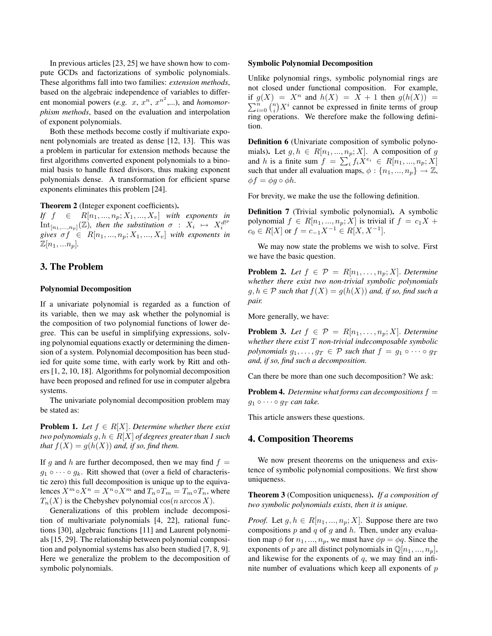In previous articles [23, 25] we have shown how to compute GCDs and factorizations of symbolic polynomials. These algorithms fall into two families: *extension methods*, based on the algebraic independence of variables to different monomial powers (*e.g.*  $x, x^n, x^{n^2}$ ,...), and *homomorphism methods*, based on the evaluation and interpolation of exponent polynomials.

Both these methods become costly if multivariate exponent polynomials are treated as dense [12, 13]. This was a problem in particular for extension methods because the first algorithms converted exponent polynomials to a binomial basis to handle fixed divisors, thus making exponent polynomials dense. A transformation for efficient sparse exponents eliminates this problem [24].

Theorem 2 (Integer exponent coefficients).

*If*  $f \in R[n_1, ..., n_p; X_1, ..., X_v]$  *with exponents in*  $\text{Int}_{[n_1,...,n_p]}(\mathbb{Z})$ , then the substitution  $\sigma : X_i \mapsto X_i^{d!^p}$ *gives*  $\sigma f \in R[n_1, ..., n_p; X_1, ..., X_v]$  *with exponents in*  $\mathbb{Z}[n_1,...n_p]$ .

# 3. The Problem

### Polynomial Decomposition

If a univariate polynomial is regarded as a function of its variable, then we may ask whether the polynomial is the composition of two polynomial functions of lower degree. This can be useful in simplifying expressions, solving polynomial equations exactly or determining the dimension of a system. Polynomial decomposition has been studied for quite some time, with early work by Ritt and others [1, 2, 10, 18]. Algorithms for polynomial decomposition have been proposed and refined for use in computer algebra systems.

The univariate polynomial decomposition problem may be stated as:

**Problem 1.** *Let*  $f \in R[X]$ *. Determine whether there exist two polynomials*  $g, h \in R[X]$  *of degrees greater than 1 such that*  $f(X) = g(h(X))$  *and, if so, find them.* 

If g and h are further decomposed, then we may find  $f =$  $g_1 \circ \cdots \circ g_k$ . Ritt showed that (over a field of characteristic zero) this full decomposition is unique up to the equivalences  $X^m \circ X^n = X^n \circ X^m$  and  $T_n \circ T_m = T_m \circ T_n$ , where  $T_n(X)$  is the Chebyshev polynomial  $\cos(n \arccos X)$ .

Generalizations of this problem include decomposition of multivariate polynomials [4, 22], rational functions [30], algebraic functions [11] and Laurent polynomials [15, 29]. The relationship between polynomial composition and polynomial systems has also been studied [7, 8, 9]. Here we generalize the problem to the decomposition of symbolic polynomials.

#### Symbolic Polynomial Decomposition

Unlike polynomial rings, symbolic polynomial rings are not closed under functional composition. For example, if  $g(X) = X^n$  and  $h(X) = X + 1$  then  $g(h(X)) =$  $\sum_{i=0}^{n} \binom{n}{i} X^i$  cannot be expressed in finite terms of group ring operations. We therefore make the following definition.

Definition 6 (Univariate composition of symbolic polynomials). Let  $g, h \in R[n_1, ..., n_p; X]$ . A composition of g and h is a finite sum  $f = \sum_i f_i X^{e_i} \in R[n_1, ..., n_p; X]$ such that under all evaluation maps,  $\phi: \{n_1, ..., n_p\} \to \mathbb{Z}$ ,  $\phi f = \phi g \circ \phi h$ .

For brevity, we make the use the following definition.

Definition 7 (Trivial symbolic polynomial). A symbolic polynomial  $f \in R[n_1, ..., n_p; X]$  is trivial if  $f = c_1 X +$  $c_0 \in R[X]$  or  $f = c_{-1}X^{-1} \in R[X, X^{-1}].$ 

We may now state the problems we wish to solve. First we have the basic question.

**Problem 2.** Let  $f \in \mathcal{P} = R[n_1, \ldots, n_p; X]$ . Determine *whether there exist two non-trivial symbolic polynomials*  $g, h \in \mathcal{P}$  *such that*  $f(X) = g(h(X))$  *and, if so, find such a pair.*

More generally, we have:

**Problem 3.** Let  $f \in \mathcal{P} = R[n_1, \ldots, n_p; X]$ . Determine *whether there exist* T *non-trivial indecomposable symbolic polynomials*  $g_1, \ldots, g_T \in \mathcal{P}$  *such that*  $f = g_1 \circ \cdots \circ g_T$ *and, if so, find such a decomposition.*

Can there be more than one such decomposition? We ask:

Problem 4. *Determine what forms can decompositions* f =  $g_1 \circ \cdots \circ g_T$  *can take.* 

This article answers these questions.

## 4. Composition Theorems

We now present theorems on the uniqueness and existence of symbolic polynomial compositions. We first show uniqueness.

Theorem 3 (Composition uniqueness). *If a composition of two symbolic polynomials exists, then it is unique.*

*Proof.* Let  $g, h \in R[n_1, ..., n_p; X]$ . Suppose there are two compositions  $p$  and  $q$  of  $g$  and  $h$ . Then, under any evaluation map  $\phi$  for  $n_1, ..., n_p$ , we must have  $\phi p = \phi q$ . Since the exponents of p are all distinct polynomials in  $\mathbb{Q}[n_1, ..., n_p]$ , and likewise for the exponents of  $q$ , we may find an infinite number of evaluations which keep all exponents of  $p$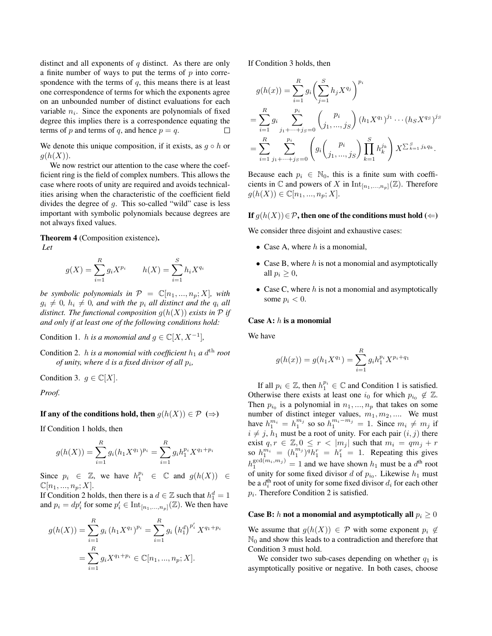distinct and all exponents of  $q$  distinct. As there are only a finite number of ways to put the terms of  $p$  into correspondence with the terms of  $q$ , this means there is at least one correspondence of terms for which the exponents agree on an unbounded number of distinct evaluations for each variable  $n_i$ . Since the exponents are polynomials of fixed degree this implies there is a correspondence equating the terms of p and terms of q, and hence  $p = q$ .

We denote this unique composition, if it exists, as  $g \circ h$  or  $q(h(X)).$ 

We now restrict our attention to the case where the coefficient ring is the field of complex numbers. This allows the case where roots of unity are required and avoids technicalities arising when the characteristic of the coefficient field divides the degree of g. This so-called "wild" case is less important with symbolic polynomials because degrees are not always fixed values.

Theorem 4 (Composition existence).

*Let*

$$
g(X) = \sum_{i=1}^{R} g_i X^{p_i} \qquad h(X) = \sum_{i=1}^{S} h_i X^{q_i}
$$

*be symbolic polynomials in*  $P = \mathbb{C}[n_1, ..., n_p; X]$ *, with*  $g_i \neq 0$ ,  $h_i \neq 0$ , and with the  $p_i$  all distinct and the  $q_i$  all *distinct. The functional composition*  $g(h(X))$  *exists in*  $\mathcal P$  *if and only if at least one of the following conditions hold:*

Condition 1. *h is a monomial and*  $g \in \mathbb{C}[X, X^{-1}]$ ,

Condition 2.  $h$  *is a monomial with coefficient*  $h_1$  *a*  $d^{\text{th}}$  *root of unity, where d is a fixed divisor of all*  $p_i$ *,* 

Condition 3.  $g \in \mathbb{C}[X]$ .

*Proof.*

If any of the conditions hold, then  $g(h(X)) \in \mathcal{P}$  ( $\Rightarrow$ )

If Condition 1 holds, then

$$
g(h(X)) = \sum_{i=1}^{R} g_i(h_1 X^{q_1})^{p_i} = \sum_{i=1}^{R} g_i h_1^{p_i} X^{q_1 + p_i}
$$

Since  $p_i \in \mathbb{Z}$ , we have  $h_1^{p_i} \in \mathbb{C}$  and  $g(h(X)) \in$  $\mathbb{C}[n_1, ..., n_p; X].$ 

If Condition 2 holds, then there is a  $d \in \mathbb{Z}$  such that  $h_1^d = 1$ and  $p_i = dp'_i$  for some  $p'_i \in \text{Int}_{[n_1,...,n_p]}(\mathbb{Z})$ . We then have

$$
g(h(X)) = \sum_{i=1}^{R} g_i (h_1 X^{q_1})^{p_i} = \sum_{i=1}^{R} g_i (h_1^d)^{p'_i} X^{q_1 + p_i}
$$

$$
= \sum_{i=1}^{R} g_i X^{q_1 + p_i} \in \mathbb{C}[n_1, ..., n_p; X].
$$

If Condition 3 holds, then

$$
g(h(x)) = \sum_{i=1}^{R} g_i \left( \sum_{j=1}^{S} h_j X^{q_j} \right)^{p_i}
$$
  
= 
$$
\sum_{i=1}^{R} g_i \sum_{j_1 + \dots + j_S = 0}^{p_i} \binom{p_i}{j_1, \dots, j_S} (h_1 X^{q_1})^{j_1} \cdots (h_S X^{q_S})^{j_S}
$$
  
= 
$$
\sum_{i=1}^{R} \sum_{j_1 + \dots + j_S = 0}^{p_i} \left( g_i \binom{p_i}{j_1, \dots, j_S} \prod_{k=1}^{S} h_k^{j_k} \right) X^{\sum_{k=1}^{S} j_k q_k}.
$$

Because each  $p_i \in \mathbb{N}_0$ , this is a finite sum with coefficients in  $\mathbb C$  and powers of X in  $\mathrm{Int}_{[n_1,...,n_p]}(\mathbb Z)$ . Therefore  $g(h(X)) \in \mathbb{C}[n_1, ..., n_p; X].$ 

### **If**  $g(h(X)) \in \mathcal{P}$ , then one of the conditions must hold (←)

We consider three disjoint and exhaustive cases:

- Case A, where  $h$  is a monomial,
- Case B, where  $h$  is not a monomial and asymptotically all  $p_i \geq 0$ ,
- Case C, where  $h$  is not a monomial and asymptotically some  $p_i < 0$ .

## Case A: h is a monomial

We have

$$
g(h(x)) = g(h_1 X^{q_1}) = \sum_{i=1}^{R} g_i h_1^{p_i} X^{p_i + q_1}
$$

If all  $p_i \in \mathbb{Z}$ , then  $h_1^{p_i} \in \mathbb{C}$  and Condition 1 is satisfied. Otherwise there exists at least one  $i_0$  for which  $p_{i_0} \notin \mathbb{Z}$ . Then  $p_{i_0}$  is a polynomial in  $n_1, ..., n_p$  that takes on some number of distinct integer values,  $m_1, m_2, \dots$ . We must have  $h_1^{m_i} = h_1^{m_j}$  so so  $h_1^{m_i - m_j} = 1$ . Since  $m_i \neq m_j$  if  $i \neq j$ ,  $h_1$  must be a root of unity. For each pair  $(i, j)$  there exist  $q, r \in \mathbb{Z}, 0 \leq r < |m_j|$  such that  $m_i = qm_j + r$ so  $h_1^{m_1} = (h_1^{m_1})^q h_1^r = h_1^r = 1$ . Repeating this gives  $h_1^{\gcd(m_i, m_j)} = 1$  and we have shown  $h_1$  must be a  $d^{\text{th}}$  root of unity for some fixed divisor d of  $p_{i_0}$ . Likewise  $h_1$  must be a  $d_i^{\text{th}}$  root of unity for some fixed divisor  $d_i$  for each other  $p_i$ . Therefore Condition 2 is satisfied.

### Case B: h not a monomial and asymptotically all  $p_i \geq 0$

We assume that  $g(h(X)) \in \mathcal{P}$  with some exponent  $p_i \notin$  $\mathbb{N}_0$  and show this leads to a contradiction and therefore that Condition 3 must hold.

We consider two sub-cases depending on whether  $q_1$  is asymptotically positive or negative. In both cases, choose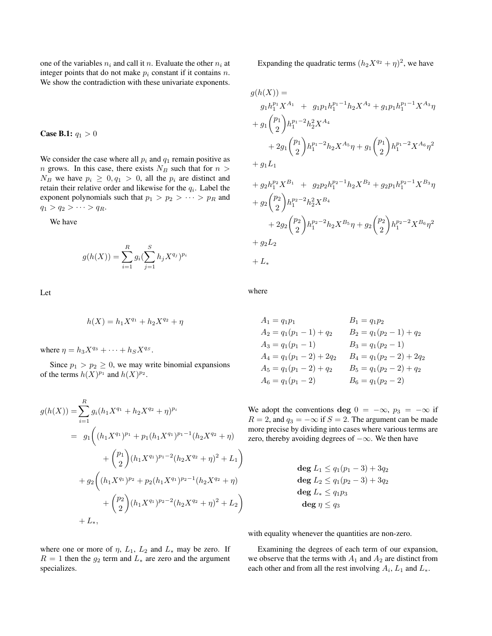one of the variables  $n_i$  and call it n. Evaluate the other  $n_i$  at integer points that do not make  $p_i$  constant if it contains n. We show the contradiction with these univariate exponents.

**Case B.1:**  $q_1 > 0$ 

We consider the case where all  $p_i$  and  $q_1$  remain positive as  $n$  grows. In this case, there exists  $N_B$  such that for  $n >$  $N_B$  we have  $p_i \geq 0, q_1 > 0$ , all the  $p_i$  are distinct and retain their relative order and likewise for the  $q_i$ . Label the exponent polynomials such that  $p_1 > p_2 > \cdots > p_R$  and  $q_1 > q_2 > \cdots > q_R.$ 

We have

$$
g(h(X)) = \sum_{i=1}^{R} g_i (\sum_{j=1}^{S} h_j X^{q_j})^{p_i}
$$

Let

$$
h(X) = h_1 X^{q_1} + h_2 X^{q_2} + \eta
$$

where  $\eta = h_3 X^{q_3} + \cdots + h_S X^{q_S}$ .

Since  $p_1 > p_2 \geq 0$ , we may write binomial expansions of the terms  $h(X)^{p_1}$  and  $h(X)^{p_2}$ .

$$
g(h(X)) = \sum_{i=1}^{R} g_i (h_1 X^{q_1} + h_2 X^{q_2} + \eta)^{p_i}
$$
  
=  $g_1 \left( (h_1 X^{q_1})^{p_1} + p_1 (h_1 X^{q_1})^{p_1 - 1} (h_2 X^{q_2} + \eta) + {p_1 \choose 2} (h_1 X^{q_1})^{p_1 - 2} (h_2 X^{q_2} + \eta)^2 + L_1 \right)$   
+  $g_2 \left( (h_1 X^{q_1})^{p_2} + p_2 (h_1 X^{q_1})^{p_2 - 1} (h_2 X^{q_2} + \eta) + {p_2 \choose 2} (h_1 X^{q_1})^{p_2 - 2} (h_2 X^{q_2} + \eta)^2 + L_2 \right)$   
+  $L_*$ ,

Expanding the quadratic terms  $(h_2X^{q_2} + \eta)^2$ , we have

$$
g(h(X)) =
$$
  
\n
$$
g_1h_1^{p_1}X^{A_1} + g_1p_1h_1^{p_1-1}h_2X^{A_2} + g_1p_1h_1^{p_1-1}X^{A_3}\eta
$$
  
\n
$$
+ g_1\binom{p_1}{2}h_1^{p_1-2}h_2^2X^{A_4}
$$
  
\n
$$
+ 2g_1\binom{p_1}{2}h_1^{p_1-2}h_2X^{A_5}\eta + g_1\binom{p_1}{2}h_1^{p_1-2}X^{A_6}\eta^2
$$
  
\n
$$
+ g_1L_1
$$
  
\n
$$
+ g_2h_1^{p_2}X^{B_1} + g_2p_2h_1^{p_2-1}h_2X^{B_2} + g_2p_1h_1^{p_2-1}X^{B_3}\eta
$$
  
\n
$$
+ g_2\binom{p_2}{2}h_1^{p_2-2}h_2^2X^{B_4}
$$
  
\n
$$
+ 2g_2\binom{p_2}{2}h_1^{p_2-2}h_2X^{B_5}\eta + g_2\binom{p_2}{2}h_1^{p_2-2}X^{B_6}\eta^2
$$
  
\n
$$
+ g_2L_2
$$
  
\n
$$
+ L_*
$$

where

$$
A_1 = q_1 p_1
$$
  
\n
$$
A_2 = q_1 (p_1 - 1) + q_2
$$
  
\n
$$
A_3 = q_1 (p_1 - 1)
$$
  
\n
$$
A_4 = q_1 (p_1 - 2) + 2q_2
$$
  
\n
$$
A_5 = q_1 (p_1 - 2) + q_2
$$
  
\n
$$
A_6 = q_1 (p_1 - 2)
$$
  
\n
$$
B_7 = q_1 (p_2 - 1)
$$
  
\n
$$
B_8 = q_1 (p_2 - 2) + q_2
$$
  
\n
$$
B_9 = q_1 (p_2 - 2) + q_2
$$
  
\n
$$
B_8 = q_1 (p_2 - 2)
$$

We adopt the conventions deg  $0 = -\infty$ ,  $p_3 = -\infty$  if  $R = 2$ , and  $q_3 = -\infty$  if  $S = 2$ . The argument can be made more precise by dividing into cases where various terms are zero, thereby avoiding degrees of  $-\infty$ . We then have

$$
deg L_1 \le q_1(p_1 - 3) + 3q_2
$$
  
\n
$$
deg L_2 \le q_1(p_2 - 3) + 3q_2
$$
  
\n
$$
deg L_* \le q_1p_3
$$
  
\n
$$
deg \eta \le q_3
$$

with equality whenever the quantities are non-zero.

Examining the degrees of each term of our expansion, we observe that the terms with  $A_1$  and  $A_2$  are distinct from each other and from all the rest involving  $A_i$ ,  $L_1$  and  $L_*$ .

where one or more of  $\eta$ ,  $L_1$ ,  $L_2$  and  $L_*$  may be zero. If  $R = 1$  then the  $g_2$  term and  $L_*$  are zero and the argument specializes.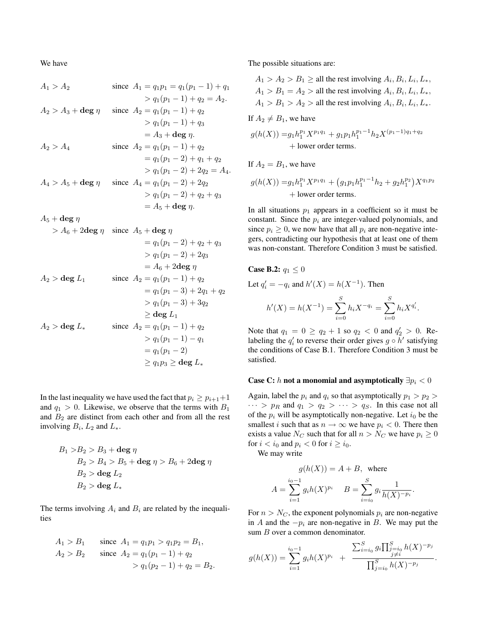We have

$$
A_1 > A_2
$$
 since  $A_1 = q_1 p_1 = q_1 (p_1 - 1) + q_1$   
\t\t\t $\qquad \qquad > q_1 (p_1 - 1) + q_2 = A_2.$   
\t\t\t $A_2 > A_3 + \deg \eta$  since  $A_2 = q_1 (p_1 - 1) + q_2$   
\t\t\t $\qquad \qquad > q_1 (p_1 - 1) + q_3$   
\t\t\t $\qquad = A_3 + \deg \eta.$   
 $A_2 > A_4$  since  $A_2 = q_1 (p_1 - 1) + q_2$   
\t\t\t $\qquad = q_1 (p_1 - 1) + q_2$   
\t\t\t $\qquad \qquad > q_1 (p_1 - 2) + q_1 + q_2$   
\t\t\t $\qquad \qquad > q_1 (p_1 - 2) + 2q_2 = A_4.$   
 $A_4 > A_5 + \deg \eta$  since  $A_4 = q_1 (p_1 - 2) + q_2$   
\t\t\t $\qquad \qquad > q_1 (p_1 - 2) + q_2 + q_3$   
\t\t\t $\qquad = A_5 + \deg \eta.$ 

$$
A_5+{\rm deg}\ \eta
$$

$$
> A_6 + 2\deg \eta \quad \text{since } A_5 + \deg \eta
$$
  
\n
$$
= q_1(p_1 - 2) + q_2 + q_3
$$
  
\n
$$
> q_1(p_1 - 2) + 2q_3
$$
  
\n
$$
= A_6 + 2\deg \eta
$$
  
\n
$$
A_2 > \deg L_1 \quad \text{since } A_2 = q_1(p_1 - 1) + q_2
$$
  
\n
$$
= q_1(p_1 - 3) + 2q_1 + q_2
$$
  
\n
$$
> q_1(p_1 - 3) + 3q_2
$$
  
\n
$$
\geq \deg L_1
$$
  
\n
$$
A_2 > \deg L_* \quad \text{since } A_2 = q_1(p_1 - 1) + q_2
$$
  
\n
$$
> q_1(p_1 - 1) - q_1
$$
  
\n
$$
= q_1(p_1 - 2)
$$
  
\n
$$
\geq q_1p_3 \geq \deg L_*
$$

In the last inequality we have used the fact that  $p_i \geq p_{i+1}+1$ and  $q_1 > 0$ . Likewise, we observe that the terms with  $B_1$ and  $B_2$  are distinct from each other and from all the rest involving  $B_i$ ,  $L_2$  and  $L_*$ .

$$
B_1 > B_2 > B_3 + \text{deg } \eta
$$
  
\n
$$
B_2 > B_4 > B_5 + \text{deg } \eta > B_6 + 2\text{deg } \eta
$$
  
\n
$$
B_2 > \text{deg } L_2
$$
  
\n
$$
B_2 > \text{deg } L_*
$$

The terms involving  $A_i$  and  $B_i$  are related by the inequalities

$$
A_1 > B_1 \t\t\t\tsince A_1 = q_1 p_1 > q_1 p_2 = B_1,A_2 > B_2 \t\t\tsince A_2 = q_1 (p_1 - 1) + q_2> q_1 (p_2 - 1) + q_2 = B_2.
$$

The possible situations are:

$$
A_1 > A_2 > B_1 \ge \text{all the rest involving } A_i, B_i, L_i, L_*,
$$
  

$$
A_1 > B_1 = A_2 > \text{all the rest involving } A_i, B_i, L_i, L_*,
$$
  

$$
A_1 > B_1 > A_2 > \text{all the rest involving } A_i, B_i, L_i, L_*,
$$

If  $A_2 \neq B_1$ , we have

$$
g(h(X)) = g_1 h_1^{p_1} X^{p_1 q_1} + g_1 p_1 h_1^{p_1 - 1} h_2 X^{(p_1 - 1)q_1 + q_2}
$$
  
+ lower order terms.

If  $A_2 = B_1$ , we have

$$
g(h(X)) = g_1 h_1^{p_1} X^{p_1 q_1} + (g_1 p_1 h_1^{p_1 - 1} h_2 + g_2 h_1^{p_2}) X^{q_1 p_2}
$$
  
+ lower order terms.

In all situations  $p_1$  appears in a coefficient so it must be constant. Since the  $p_i$  are integer-valued polynomials, and since  $p_i \geq 0$ , we now have that all  $p_i$  are non-negative integers, contradicting our hypothesis that at least one of them was non-constant. Therefore Condition 3 must be satisfied.

Case B.2: 
$$
q_1 \le 0
$$
  
\nLet  $q'_i = -q_i$  and  $h'(X) = h(X^{-1})$ . Then  
\n
$$
h'(X) = h(X^{-1}) = \sum_{i=0}^{S} h_i X^{-q_i} = \sum_{i=0}^{S} h_i X^{q'_i}.
$$

Note that  $q_1 = 0 \ge q_2 + 1$  so  $q_2 < 0$  and  $q'_2 > 0$ . Relabeling the  $q_i'$  to reverse their order gives  $g \circ h'$  satisfying the conditions of Case B.1. Therefore Condition 3 must be satisfied.

### Case C: h not a monomial and asymptotically  $\exists p_i < 0$

Again, label the  $p_i$  and  $q_i$  so that asymptotically  $p_1 > p_2 >$  $\cdots > p_R$  and  $q_1 > q_2 > \cdots > q_S$ . In this case not all of the  $p_i$  will be asymptotically non-negative. Let  $i_0$  be the smallest *i* such that as  $n \to \infty$  we have  $p_i < 0$ . There then exists a value  $N_C$  such that for all  $n > N_C$  we have  $p_i \geq 0$ for  $i < i_0$  and  $p_i < 0$  for  $i \ge i_0$ .

We may write

$$
g(h(X)) = A + B, \text{ where}
$$

$$
A = \sum_{i=1}^{i_0-1} g_i h(X)^{p_i} \quad B = \sum_{i=i_0}^{S} g_i \frac{1}{h(X)^{-p_i}}.
$$

For  $n > N_C$ , the exponent polynomials  $p_i$  are non-negative in A and the  $-p_i$  are non-negative in B. We may put the sum *B* over a common denominator.

$$
g(h(X)) = \sum_{i=1}^{i_0-1} g_i h(X)^{p_i} + \frac{\sum_{i=i_0}^S g_i \prod_{\substack{j=i_0 \\ j \neq i}}^S h(X)^{-p_j}}{\prod_{j=i_0}^S h(X)^{-p_j}}.
$$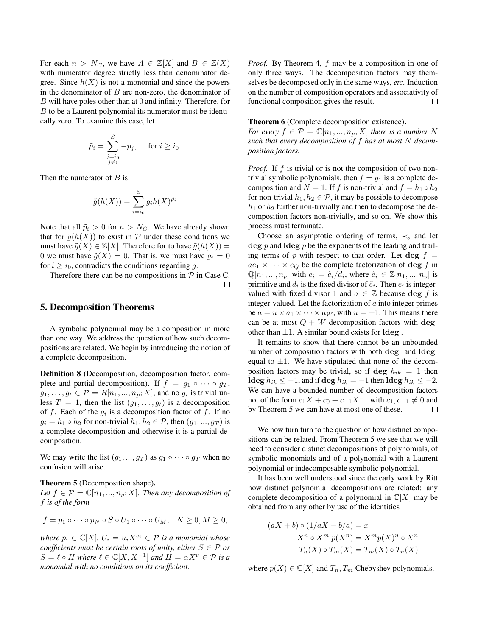For each  $n > N_C$ , we have  $A \in \mathbb{Z}[X]$  and  $B \in \mathbb{Z}(X)$ with numerator degree strictly less than denominator degree. Since  $h(X)$  is not a monomial and since the powers in the denominator of  $B$  are non-zero, the denominator of  $B$  will have poles other than at  $0$  and infinity. Therefore, for  $B$  to be a Laurent polynomial its numerator must be identically zero. To examine this case, let

$$
\tilde{p}_i = \sum_{\substack{j=i_0 \\ j \neq i}}^S -p_j, \quad \text{ for } i \geq i_0.
$$

Then the numerator of  $B$  is

$$
\tilde{g}(h(X)) = \sum_{i=i_0}^{S} g_i h(X)^{\tilde{p}_i}
$$

Note that all  $\tilde{p}_i > 0$  for  $n > N_C$ . We have already shown that for  $\tilde{g}(h(X))$  to exist in P under these conditions we must have  $\tilde{g}(X) \in \mathbb{Z}[X]$ . Therefore for to have  $\tilde{g}(h(X)) =$ 0 we must have  $\tilde{g}(X) = 0$ . That is, we must have  $g_i = 0$ for  $i \geq i_0$ , contradicts the conditions regarding g.

Therefore there can be no compositions in  $P$  in Case C.  $\Box$ 

## 5. Decomposition Theorems

A symbolic polynomial may be a composition in more than one way. We address the question of how such decompositions are related. We begin by introducing the notion of a complete decomposition.

Definition 8 (Decomposition, decomposition factor, complete and partial decomposition). If  $f = g_1 \circ \cdots \circ g_T$ ,  $g_1, \ldots, g_t \in \mathcal{P} = R[n_1, \ldots, n_p; X]$ , and no  $g_i$  is trivial unless  $T = 1$ , then the list  $(g_1, \ldots, g_t)$  is a decomposition of f. Each of the  $g_i$  is a decomposition factor of f. If no  $g_i = h_1 \circ h_2$  for non-trivial  $h_1, h_2 \in \mathcal{P}$ , then  $(g_1, ..., g_T)$  is a complete decomposition and otherwise it is a partial decomposition.

We may write the list  $(g_1, ..., g_T)$  as  $g_1 \circ \cdots \circ g_T$  when no confusion will arise.

#### Theorem 5 (Decomposition shape).

*Let*  $f \in \mathcal{P} = \mathbb{C}[n_1, ..., n_p; X]$ *. Then any decomposition of* f *is of the form*

$$
f = p_1 \circ \cdots \circ p_N \circ S \circ U_1 \circ \cdots \circ U_M, \quad N \ge 0, M \ge 0,
$$

*where*  $p_i \in \mathbb{C}[X]$ ,  $U_i = u_i X^{e_i} \in \mathcal{P}$  *is a monomial whose coefficients must be certain roots of unity, either*  $S \in \mathcal{P}$  *or*  $S = \ell \circ H$  *where*  $\ell \in \mathbb{C}[X, X^{-1}]$  *and*  $H = \alpha X^{\nu} \in \mathcal{P}$  *is a monomial with no conditions on its coefficient.*

*Proof.* By Theorem 4, f may be a composition in one of only three ways. The decomposition factors may themselves be decomposed only in the same ways, *etc*. Induction on the number of composition operators and associativity of functional composition gives the result.  $\Box$ 

### Theorem 6 (Complete decomposition existence).

*For every*  $f \in \mathcal{P} = \mathbb{C}[n_1, ..., n_p; X]$  *there is a number* N *such that every decomposition of* f *has at most* N *decomposition factors.*

*Proof.* If f is trivial or is not the composition of two nontrivial symbolic polynomials, then  $f = g_1$  is a complete decomposition and  $N = 1$ . If f is non-trivial and  $f = h_1 \circ h_2$ for non-trivial  $h_1, h_2 \in \mathcal{P}$ , it may be possible to decompose  $h_1$  or  $h_2$  further non-trivially and then to decompose the decomposition factors non-trivially, and so on. We show this process must terminate.

Choose an asymptotic ordering of terms,  $\prec$ , and let  $\deg p$  and  $\deg p$  be the exponents of the leading and trailing terms of p with respect to that order. Let deg  $f =$  $ae_1 \times \cdots \times e_Q$  be the complete factorization of deg f in  $\mathbb{Q}[n_1, ..., n_p]$  with  $e_i = \tilde{e}_i / d_i$ , where  $\tilde{e}_i \in \mathbb{Z}[n_1, ..., n_p]$  is primitive and  $d_i$  is the fixed divisor of  $\tilde{e}_i$ . Then  $e_i$  is integervalued with fixed divisor 1 and  $a \in \mathbb{Z}$  because deg f is integer-valued. Let the factorization of  $a$  into integer primes be  $a = u \times a_1 \times \cdots \times a_W$ , with  $u = \pm 1$ . This means there can be at most  $Q + W$  decomposition factors with deg other than  $\pm 1$ . A similar bound exists for  $\log$ .

It remains to show that there cannot be an unbounded number of composition factors with both deg and ldeg equal to  $\pm 1$ . We have stipulated that none of the decomposition factors may be trivial, so if deg  $h_{ik} = 1$  then ldeg  $h_{ik} \leq -1$ , and if deg  $h_{ik} = -1$  then ldeg  $h_{ik} \leq -2$ . We can have a bounded number of decomposition factors not of the form  $c_1X + c_0 + c_{-1}X^{-1}$  with  $c_1, c_{-1} \neq 0$  and by Theorem 5 we can have at most one of these.  $\Box$ 

We now turn turn to the question of how distinct compositions can be related. From Theorem 5 we see that we will need to consider distinct decompositions of polynomials, of symbolic monomials and of a polynomial with a Laurent polynomial or indecomposable symbolic polynomial.

It has been well understood since the early work by Ritt how distinct polynomial decompositions are related: any complete decomposition of a polynomial in  $\mathbb{C}[X]$  may be obtained from any other by use of the identities

$$
(aX + b) \circ (1/aX - b/a) = x
$$
  

$$
X^n \circ X^m p(X^n) = X^m p(X)^n \circ X^n
$$
  

$$
T_n(X) \circ T_m(X) = T_m(X) \circ T_n(X)
$$

where  $p(X) \in \mathbb{C}[X]$  and  $T_n, T_m$  Chebyshev polynomials.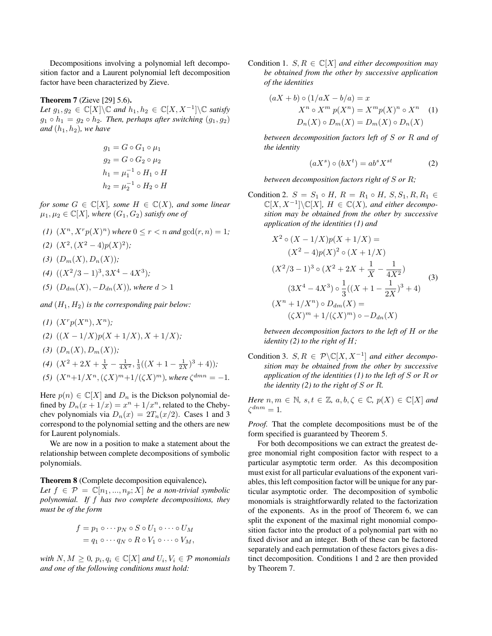Decompositions involving a polynomial left decomposition factor and a Laurent polynomial left decomposition factor have been characterized by Zieve.

### Theorem 7 (Zieve [29] 5.6).

Let  $g_1, g_2 \in \mathbb{C}[X] \backslash \mathbb{C}$  and  $h_1, h_2 \in \mathbb{C}[X, X^{-1}] \backslash \mathbb{C}$  satisfy  $g_1 \circ h_1 = g_2 \circ h_2$ . Then, perhaps after switching  $(g_1, g_2)$ *and*  $(h_1, h_2)$ *, we have* 

$$
g_1 = G \circ G_1 \circ \mu_1
$$
  
\n
$$
g_2 = G \circ G_2 \circ \mu_2
$$
  
\n
$$
h_1 = \mu_1^{-1} \circ H_1 \circ H
$$
  
\n
$$
h_2 = \mu_2^{-1} \circ H_2 \circ H
$$

*for some*  $G \in \mathbb{C}[X]$ *, some*  $H \in \mathbb{C}(X)$ *, and some linear*  $\mu_1, \mu_2 \in \mathbb{C}[X]$ , where  $(G_1, G_2)$  *satisfy one of* 

- (1)  $(X^n, X^r p(X)^n)$  *where*  $0 \le r < n$  *and*  $gcd(r, n) = 1$ *;*
- $(X^2, (X^2-4)p(X)^2);$
- (3)  $(D_m(X), D_n(X))$ ;
- $(4)$   $((X^2/3 1)^3, 3X^4 4X^3);$
- *(5)*  $(D_{dm}(X), -D_{dn}(X))$ *, where*  $d > 1$

*and*  $(H_1, H_2)$  *is the corresponding pair below:* 

 $(I)$   $(X^r p(X^n), X^n)$ ;

(2) 
$$
((X-1/X)p(X+1/X), X+1/X);
$$

(3)  $(D_n(X), D_m(X))$ ;

(4) 
$$
(X^2 + 2X + \frac{1}{X} - \frac{1}{4X^2}, \frac{1}{3}((X+1-\frac{1}{2X})^3+4))
$$
;

(5)  $(X^n + 1/X^n, (\zeta X)^m + 1/(\zeta X)^m)$ *, where*  $\zeta^{dmn} = -1$ *.* 

Here  $p(n) \in \mathbb{C}[X]$  and  $D_n$  is the Dickson polynomial defined by  $D_n(x+1/x) = x^n + 1/x^n$ , related to the Chebychev polynomials via  $D_n(x) = 2T_n(x/2)$ . Cases 1 and 3 correspond to the polynomial setting and the others are new for Laurent polynomials.

We are now in a position to make a statement about the relationship between complete decompositions of symbolic polynomials.

Theorem 8 (Complete decomposition equivalence).

*Let*  $f \in \mathcal{P} = \mathbb{C}[n_1, ..., n_p; X]$  *be a non-trivial symbolic polynomial. If* f *has two complete decompositions, they must be of the form*

$$
f = p_1 \circ \cdots p_N \circ S \circ U_1 \circ \cdots \circ U_M
$$
  
=  $q_1 \circ \cdots q_N \circ R \circ V_1 \circ \cdots \circ V_M$ ,

*with*  $N, M \geq 0$ ,  $p_i, q_i \in \mathbb{C}[X]$  *and*  $U_i, V_i \in \mathcal{P}$  *monomials and one of the following conditions must hold:*

Condition 1.  $S, R \in \mathbb{C}[X]$  *and either decomposition may be obtained from the other by successive application of the identities*

$$
(aX + b) \circ (1/aX - b/a) = x
$$
  

$$
X^n \circ X^m p(X^n) = X^m p(X)^n \circ X^n
$$
 (1)  

$$
D_n(X) \circ D_m(X) = D_m(X) \circ D_n(X)
$$

*between decomposition factors left of* S *or* R *and of the identity*

$$
(aX^s) \circ (bX^t) = ab^s X^{st} \tag{2}
$$

*between decomposition factors right of* S *or* R*;*

Condition 2.  $S = S_1 \circ H$ ,  $R = R_1 \circ H$ ,  $S, S_1, R, R_1 \in$  $\mathbb{C}[X, X^{-1}]\backslash \mathbb{C}[X]$ ,  $H \in \mathbb{C}(X)$ , and either decompo*sition may be obtained from the other by successive application of the identities (1) and*

$$
X^{2} \circ (X - 1/X)p(X + 1/X) =
$$
  
\n
$$
(X^{2} - 4)p(X)^{2} \circ (X + 1/X)
$$
  
\n
$$
(X^{2}/3 - 1)^{3} \circ (X^{2} + 2X + \frac{1}{X} - \frac{1}{4X^{2}})
$$
  
\n
$$
(3X^{4} - 4X^{3}) \circ \frac{1}{3}((X + 1 - \frac{1}{2X})^{3} + 4)
$$
  
\n
$$
(X^{n} + 1/X^{n}) \circ D_{dm}(X) =
$$
  
\n
$$
(\zeta X)^{m} + 1/(\zeta X)^{m}) \circ -D_{dn}(X)
$$

*between decomposition factors to the left of* H *or the identity (2) to the right of* H*;*

Condition 3.  $S, R \in \mathcal{P} \backslash \mathbb{C}[X, X^{-1}]$  *and either decomposition may be obtained from the other by successive application of the identities (1) to the left of* S *or* R *or the identity (2) to the right of* S *or* R*.*

*Here*  $n, m \in \mathbb{N}$ ,  $s, t \in \mathbb{Z}$ ,  $a, b, \zeta \in \mathbb{C}$ ,  $p(X) \in \mathbb{C}[X]$  and  $\zeta^{dnm} = 1.$ 

*Proof.* That the complete decompositions must be of the form specified is guaranteed by Theorem 5.

For both decompositions we can extract the greatest degree monomial right composition factor with respect to a particular asymptotic term order. As this decomposition must exist for all particular evaluations of the exponent variables, this left composition factor will be unique for any particular asymptotic order. The decomposition of symbolic monomials is straightforwardly related to the factorization of the exponents. As in the proof of Theorem 6, we can split the exponent of the maximal right monomial composition factor into the product of a polynomial part with no fixed divisor and an integer. Both of these can be factored separately and each permutation of these factors gives a distinct decomposition. Conditions 1 and 2 are then provided by Theorem 7.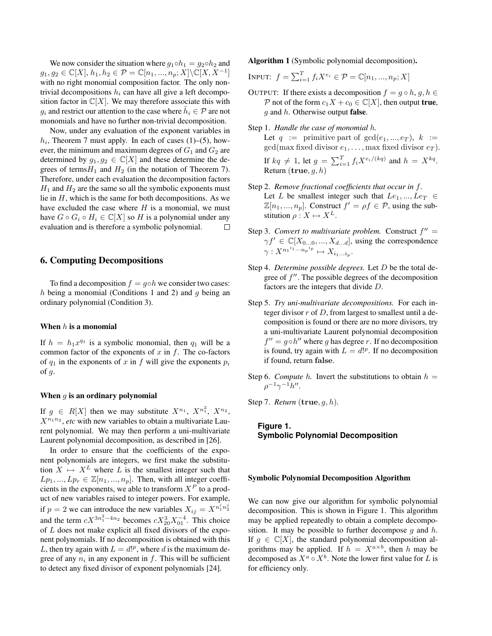We now consider the situation where  $q_1 \circ h_1 = q_2 \circ h_2$  and  $g_1, g_2 \in \mathbb{C}[X], h_1, h_2 \in \mathcal{P} = \mathbb{C}[n_1, ..., n_p; X] \backslash \mathbb{C}[X, X^{-1}]$ with no right monomial composition factor. The only nontrivial decompositions  $h_i$  can have all give a left decomposition factor in  $\mathbb{C}[X]$ . We may therefore associate this with  $g_i$  and restrict our attention to the case where  $\tilde{h}_i \in \mathcal{P}$  are not monomials and have no further non-trivial decomposition.

Now, under any evaluation of the exponent variables in  $h_i$ , Theorem 7 must apply. In each of cases (1)–(5), however, the minimum and maximum degrees of  $G_1$  and  $G_2$  are determined by  $g_1, g_2 \in \mathbb{C}[X]$  and these determine the degrees of terms  $H_1$  and  $H_2$  (in the notation of Theorem 7). Therefore, under each evaluation the decomposition factors  $H_1$  and  $H_2$  are the same so all the symbolic exponents must lie in  $H$ , which is the same for both decompositions. As we have excluded the case where  $H$  is a monomial, we must have  $G \circ G_i \circ H_i \in \mathbb{C}[X]$  so H is a polynomial under any evaluation and is therefore a symbolic polynomial.  $\Box$ 

# 6. Computing Decompositions

To find a decomposition  $f = g \circ h$  we consider two cases: h being a monomial (Conditions 1 and 2) and  $q$  being an ordinary polynomial (Condition 3).

### When  $h$  is a monomial

If  $h = h_1 x^{q_1}$  is a symbolic monomial, then  $q_1$  will be a common factor of the exponents of  $x$  in  $f$ . The co-factors of  $q_1$  in the exponents of x in f will give the exponents  $p_i$ of  $g$ .

#### When  $q$  is an ordinary polynomial

If  $g \in R[X]$  then we may substitute  $X^{n_1}$ ,  $X^{n_1^2}$ ,  $X^{n_2}$ ,  $X^{n_1 n_2}$ , etc with new variables to obtain a multivariate Laurent polynomial. We may then perform a uni-multivariate Laurent polynomial decomposition, as described in [26].

In order to ensure that the coefficients of the exponent polynomials are integers, we first make the substitution  $X \mapsto X^L$  where L is the smallest integer such that  $Lp_1, ..., Lp_r \in \mathbb{Z}[n_1, ..., n_p]$ . Then, with all integer coefficients in the exponents, we able to transform  $X^P$  to a product of new variables raised to integer powers. For example, if  $p = 2$  we can introduce the new variables  $X_{ij} = X^{n_1^i n_2^j}$ and the term  $cX^{3n_1^2-4n_2}$  becomes  $cX_{20}^3X_{01}^{-4}$ . This choice of L does not make explicit all fixed divisors of the exponent polynomials. If no decomposition is obtained with this L, then try again with  $L = d!^p$ , where d is the maximum degree of any  $n_i$  in any exponent in f. This will be sufficient to detect any fixed divisor of exponent polynomials [24].

Algorithm 1 (Symbolic polynomial decomposition).

$$
Input: f = \sum_{i=1}^{T} f_i X^{e_i} \in \mathcal{P} = \mathbb{C}[n_1, ..., n_p; X]
$$

- OUTPUT: If there exists a decomposition  $f = g \circ h, g, h \in$ P not of the form  $c_1X + c_0 \in \mathbb{C}[X]$ , then output **true**, q and  $h$ . Otherwise output **false**.
- Step 1. *Handle the case of monomial* h*.* Let  $q := \text{primitive part of } \gcd(e_1, ..., e_T), k :=$  $gcd(max\ fixed\ divisor\ e_1, \ldots, \max\ fixed\ divisor\ e_T).$ If  $kq \neq 1$ , let  $g = \sum_{i=1}^{T} f_i X^{e_i/(kq)}$  and  $h = X^{kq}$ . Return  $(\mathbf{true}, q, h)$
- Step 2. *Remove fractional coefficients that occur in* f*.* Let L be smallest integer such that  $Le_1, ..., Le_T \in$  $\mathbb{Z}[n_1, ..., n_p]$ . Construct  $f' = \rho f \in \mathcal{P}$ , using the substitution  $\rho: X \mapsto X^L$ .
- Step 3. *Convert to multivariate problem.* Construct  $f'' =$  $\gamma f' \in \mathbb{C}[X_{0...0},...,X_{d...d}]$ , using the correspondence  $\gamma: X^{n_1}^{i_1} \cdots n_p^{i_p} \mapsto X_{i_1...i_p}.$
- Step 4. *Determine possible degrees.* Let D be the total degree of  $f''$ . The possible degrees of the decomposition factors are the integers that divide D.
- Step 5. *Try uni-multivariate decompositions.* For each integer divisor  $r$  of  $D$ , from largest to smallest until a decomposition is found or there are no more divisors, try a uni-multivariate Laurent polynomial decomposition  $f'' = g \circ h''$  where g has degree r. If no decomposition is found, try again with  $L = d!^p$ . If no decomposition if found, return false.
- Step 6. *Compute* h. Invert the substitutions to obtain  $h =$  $\rho^{-1} \gamma^{-1} h''$ .

Step 7. *Return* (true, g, h)*.*

# **Figure 1. Symbolic Polynomial Decomposition**

#### Symbolic Polynomial Decomposition Algorithm

We can now give our algorithm for symbolic polynomial decomposition. This is shown in Figure 1. This algorithm may be applied repeatedly to obtain a complete decomposition. It may be possible to further decompose q and  $h$ . If  $g \in \mathbb{C}[X]$ , the standard polynomial decomposition algorithms may be applied. If  $h = X^{a \times b}$ , then h may be decomposed as  $X^a \circ X^b$ . Note the lower first value for L is for efficiency only.